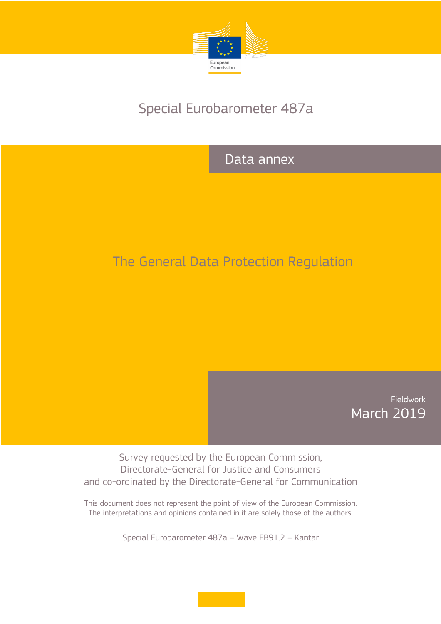

# Special Eurobarometer 487a

## Data annex

# The General Data Protection Regulation

Fieldwork March 2019

Survey requested by the European Commission, Directorate-General for Justice and Consumers and co-ordinated by the Directorate-General for Communication

This document does not represent the point of view of the European Commission. The interpretations and opinions contained in it are solely those of the authors.

Special Eurobarometer 487a – Wave EB91.2 – Kantar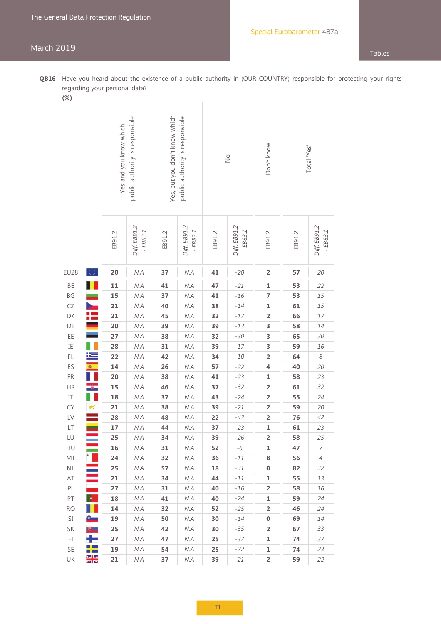### March 2019 Tables

- **QB16** Have you heard about the existence of a public authority in (OUR COUNTRY) responsible for protecting your rights regarding your personal data?
	- **(%)**

| (70 J                              |                      |                                                           |                           |                                                                  |                           |               |                           |                         |          |                           |
|------------------------------------|----------------------|-----------------------------------------------------------|---------------------------|------------------------------------------------------------------|---------------------------|---------------|---------------------------|-------------------------|----------|---------------------------|
|                                    |                      | public authority is responsible<br>Yes and you know which |                           | Yes, but you don't know which<br>public authority is responsible |                           | $\frac{1}{2}$ |                           | Don't know              |          | Total 'Yes'               |
|                                    |                      | EB91.2                                                    | Diff. EB91.2<br>$-EB83.1$ | EB91.2                                                           | Diff. EB91.2<br>$-EB83.1$ | EB91.2        | Diff. EB91.2<br>$-EB83.1$ | EB91.2                  | EB91.2   | Diff. EB91.2<br>$-EB83.1$ |
| <b>EU28</b>                        | €.                   | 20                                                        | N.A                       | 37                                                               | N.A                       | 41            | $-20$                     | $\overline{\mathbf{c}}$ | 57       | 20                        |
| BE                                 |                      | 11                                                        | N.A                       | 41                                                               | N.A                       | 47            | $-21$                     | $\mathbf 1$             | 53       | 22                        |
| BG                                 |                      | 15                                                        | N.A                       | 37                                                               | N.A                       | 41            | $-16$                     | 7                       | 53       | 15                        |
| CZ                                 |                      | 21                                                        | N.A                       | 40                                                               | N.A                       | 38            | $-14$                     | $\mathbf 1$             | 61       | 15                        |
| DK                                 |                      | 21                                                        | N.A                       | 45                                                               | N.A                       | 32            | $-17$                     | $\overline{\mathbf{c}}$ | 66       | 17                        |
| DE                                 |                      | 20                                                        | N.A                       | 39                                                               | N.A                       | 39            | $-13$                     | 3                       | 58       | 14                        |
| EE                                 |                      | 27                                                        | N.A                       | 38                                                               | N.A                       | 32            | $-30$                     | 3                       | 65       | 30                        |
| IE                                 |                      | 28                                                        | N.A                       | 31                                                               | N.A                       | 39            | $-17$                     | 3                       | 59       | 16                        |
| EL                                 | ١Ŧ                   | 22                                                        | N.A                       | 42                                                               | N.A                       | 34            | $-10$                     | $\overline{\mathbf{c}}$ | 64       | 8                         |
| ES                                 | 瘤                    | 14                                                        | N.A                       | 26                                                               | N.A                       | 57            | $-22$                     | 4                       | 40       | 20                        |
| FR                                 |                      | 20                                                        | N.A                       | 38                                                               | N.A                       | 41            | $-23$                     | $\mathbf 1$             | 58       | 23                        |
| HR                                 |                      | 15                                                        | N.A                       | 46                                                               | N.A                       | 37            | $-32$                     | $\overline{\mathbf{c}}$ | 61       | 32                        |
| $\begin{array}{c} \Pi \end{array}$ |                      | 18                                                        | N.A                       | 37                                                               | N.A                       | 43            | $-24$                     | $\overline{\mathbf{c}}$ | 55       | 24                        |
| <b>CY</b>                          | $\blacktriangledown$ | 21                                                        | N.A                       | 38                                                               | N.A                       | 39            | $-21$                     | $\overline{\mathbf{c}}$ | 59       | 20                        |
| LV                                 |                      | 28                                                        | N.A                       | 48                                                               | N.A                       | 22            | $-43$                     | $\overline{\mathbf{c}}$ | 76       | 42                        |
| $\mathsf{LT}$                      |                      | 17                                                        | N.A                       | 44                                                               | N.A                       | 37            | $-23$                     | $\mathbf{1}$            | 61       | 23                        |
| LU                                 |                      | 25                                                        | $N.A$                     | 34                                                               | $N.A$                     | 39            | $-26$                     | $\overline{2}$          | 58       | 25                        |
| HU                                 | $^*$ .               | 16                                                        | N.A                       | 31                                                               | N.A                       | 52            | $-6$                      | 1                       | 47       | $\boldsymbol{7}$          |
| MT                                 |                      | 24<br>25                                                  | N.A                       | 32                                                               | N.A                       | 36            | $-11$                     | 8                       | 56       | $\overline{4}$            |
| $\mathsf{NL}\xspace$<br>AT         |                      | 21                                                        | N.A<br>N.A                | 57<br>34                                                         | N.A<br>N.A                | 18<br>44      | $-31$<br>$-11$            | 0<br>1                  | 82<br>55 | 32<br>13                  |
| PL                                 |                      | 27                                                        | N.A                       | 31                                                               | N.A                       | 40            | $-16$                     | $\overline{2}$          | 58       | 16                        |
| PT                                 | $\bullet$            | 18                                                        | $N.A$                     | 41                                                               | $N.A$                     | 40            | $-24$                     | 1                       | 59       | 24                        |
| <b>RO</b>                          | H.                   | 14                                                        | N.A                       | 32                                                               | N.A                       | 52            | $-25$                     | $\overline{2}$          | 46       | 24                        |
| SI                                 | $\bullet$ .          | 19                                                        | N.A                       | 50                                                               | N.A                       | 30            | $-14$                     | 0                       | 69       | 14                        |
| SK                                 | [∯                   | 25                                                        | N.A                       | 42                                                               | N.A                       | 30            | $-35$                     | $\overline{2}$          | 67       | 33                        |
| $\mathbb{F}\mathrm{I}$             | ┶                    | 27                                                        | N.A                       | 47                                                               | N.A                       | 25            | $-37$                     | 1                       | 74       | 37                        |
| SE                                 |                      | 19                                                        | N.A                       | 54                                                               | N.A                       | 25            | $-22$                     | 1                       | 74       | 23                        |
| UK                                 | NK<br>Ar             | 21                                                        | N.A                       | 37                                                               | N.A                       | 39            | $-21$                     | $\overline{\mathbf{c}}$ | 59       | 22                        |
|                                    |                      |                                                           |                           |                                                                  |                           |               |                           |                         |          |                           |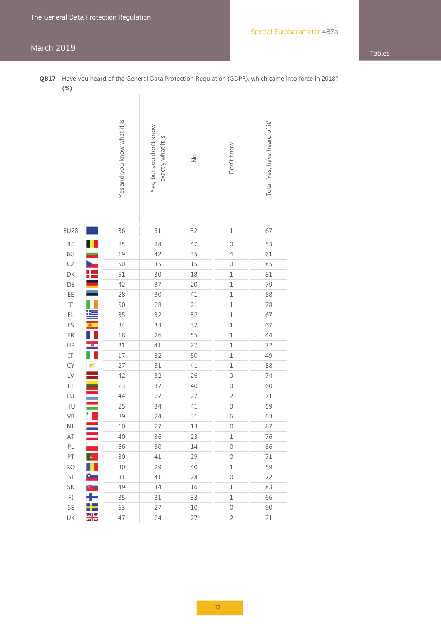### March 2019 Tables

**QB17** Have you heard of the General Data Protection Regulation (GDPR), which came into force in 2018? **(%)**

|                            |               | Yes and you know what it is | Yes, but you don't know<br>exactly what it is | $\frac{1}{2}$ | Don't know       | Total 'Yes, have heard of it' |
|----------------------------|---------------|-----------------------------|-----------------------------------------------|---------------|------------------|-------------------------------|
| <b>EU28</b>                | $\bigcirc$    | 36                          | 31                                            | 32            | $\mathbf 1$      | 67                            |
| BE                         |               | 25                          | 28                                            | 47            | $\mathbf 0$      | 53                            |
| BG                         |               | 19                          | 42                                            | 35            | $\overline{4}$   | 61                            |
| CZ                         | $\frac{1}{2}$ | 50                          | 35                                            | 15            | $\mathbf 0$      | 85                            |
| DK                         |               | 51                          | 30                                            | 18            | $\mathbf 1$      | 81                            |
| DE                         |               | 42                          | 37                                            | 20            | $\mathbf{1}$     | 79                            |
| EE                         |               | 28                          | 30                                            | 41            | $\mathbf 1$      | 58                            |
| IE                         |               | 50                          | 28                                            | 21            | $\mathbf 1$      | 78                            |
| EL                         | Ł,            | 35                          | 32                                            | 32            | $\mathbf 1$      | 67                            |
| ES                         | 8.            | 34                          | 33                                            | 32            | $\mathbf 1$      | 67                            |
| FR                         |               | 18                          | 26                                            | 55            | $\mathbf 1$      | 44                            |
| HR                         |               | 31                          | 41                                            | 27            | $\mathbf 1$      | 72                            |
| $\ensuremath{\mathsf{IT}}$ |               | 17                          | 32                                            | 50            | $\mathbf 1$      | 49                            |
| <b>CY</b>                  |               | 27                          | 31                                            | 41            | $\mathbf 1$      | 58                            |
| LV                         |               | 42                          | 32                                            | 26            | $\mathbf 0$      | 74                            |
| LT                         |               | 23                          | 37                                            | 40            | $\mathbf 0$      | 60                            |
| LU                         |               | 44                          | 27                                            | 27            | $\overline{c}$   | 71                            |
| HU                         |               | 25                          | 34                                            | 41            | $\mathbf 0$      | 59                            |
| MT                         |               | 39                          | 24                                            | 31            | 6                | 63                            |
| NL                         |               | 60                          | 27                                            | 13            | $\mathbf 0$      | 87                            |
| AT                         |               | 40                          | 36                                            | 23            | $\mathbf 1$      | 76                            |
| PL                         |               | 56                          | 30                                            | 14            | $\boldsymbol{0}$ | 86                            |
| PT                         | ۰             | 30                          | 41                                            | 29            | $\mathbf 0$      | $71\,$                        |
| <b>RO</b>                  |               | 30                          | 29                                            | 40            | $\mathbf 1$      | 59                            |
| $\mathsf{SI}$              |               | 31                          | 41                                            | 28            | 0                | 72                            |
| SK                         | ए∎            | 49                          | 34                                            | 16            | $\mathbf 1$      | 83                            |
| $\mathbb{F}\mathbb{I}$     |               | 35                          | 31                                            | 33            | $\mathbf 1$      | 66                            |
| SE                         |               | 63                          | 27                                            | $10$          | $\boldsymbol{0}$ | 90                            |
| UK                         | NK<br>NK      | 47                          | 24                                            | 27            | $\overline{2}$   | $71\,$                        |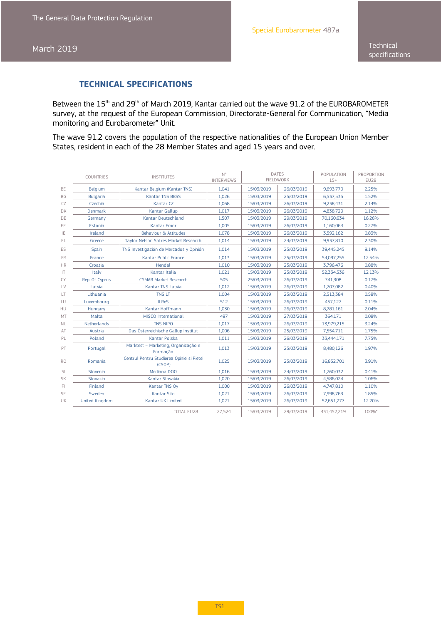### **TECHNICAL SPECIFICATIONS**

Between the 15<sup>th</sup> and 29<sup>th</sup> of March 2019, Kantar carried out the wave 91.2 of the EUROBAROMETER survey, at the request of the European Commission, Directorate-General for Communication, "Media monitoring and Eurobarometer" Unit.

The wave 91.2 covers the population of the respective nationalities of the European Union Member States, resident in each of the 28 Member States and aged 15 years and over.

|           | <b>COUNTRIES</b>      | <b>INSTITUTES</b>                                    | N°<br><b>INTERVIEWS</b> | <b>DATES</b> | <b>FIELDWORK</b> | POPULATION<br>$15+$ | PROPORTION<br><b>EU28</b> |
|-----------|-----------------------|------------------------------------------------------|-------------------------|--------------|------------------|---------------------|---------------------------|
| <b>BE</b> | Belgium               | Kantar Belgium (Kantar TNS)                          | 1.041                   | 15/03/2019   | 26/03/2019       | 9.693.779           | 2.25%                     |
| <b>BG</b> | <b>Bulgaria</b>       | <b>Kantar TNS BBSS</b>                               | 1.026                   | 15/03/2019   | 25/03/2019       | 6.537.535           | 1.52%                     |
| CZ        | Czechia               | Kantar CZ                                            | 1,068                   | 15/03/2019   | 26/03/2019       | 9,238,431           | 2.14%                     |
| DK        | <b>Denmark</b>        | Kantar Gallup                                        | 1.017                   | 15/03/2019   | 26/03/2019       | 4.838.729           | 1.12%                     |
| DE        | Germany               | Kantar Deutschland                                   | 1,507                   | 15/03/2019   | 29/03/2019       | 70,160,634          | 16.26%                    |
| EE        | Estonia               | Kantar Emor                                          | 1,005                   | 15/03/2019   | 26/03/2019       | 1,160,064           | 0.27%                     |
| IE        | Ireland               | Behaviour & Attitudes                                | 1,078                   | 15/03/2019   | 26/03/2019       | 3,592,162           | 0.83%                     |
| EL.       | Greece                | Taylor Nelson Sofres Market Research                 | 1.014                   | 15/03/2019   | 24/03/2019       | 9,937,810           | 2.30%                     |
| ES        | Spain                 | TNS Investigación de Mercados y Opinión              | 1,014                   | 15/03/2019   | 25/03/2019       | 39,445,245          | 9.14%                     |
| <b>FR</b> | France                | Kantar Public France                                 | 1,013                   | 15/03/2019   | 25/03/2019       | 54,097,255          | 12.54%                    |
| <b>HR</b> | Croatia               | Hendal                                               | 1,010                   | 15/03/2019   | 25/03/2019       | 3,796,476           | 0.88%                     |
| IT        | Italy                 | Kantar Italia                                        | 1.021                   | 15/03/2019   | 25/03/2019       | 52.334.536          | 12.13%                    |
| CY        | Rep. Of Cyprus        | <b>CYMAR Market Research</b>                         | 505                     | 25/03/2019   | 26/03/2019       | 741.308             | 0.17%                     |
| LV        | Latvia                | <b>Kantar TNS Latvia</b>                             | 1.012                   | 15/03/2019   | 26/03/2019       | 1,707,082           | 0.40%                     |
| LT        | Lithuania             | <b>TNS LT</b>                                        | 1.004                   | 15/03/2019   | 25/03/2019       | 2,513,384           | 0.58%                     |
| LU        | Luxembourg            | <b>ILReS</b>                                         | 512                     | 15/03/2019   | 26/03/2019       | 457.127             | 0.11%                     |
| HU        | Hungary               | Kantar Hoffmann                                      | 1,030                   | 15/03/2019   | 26/03/2019       | 8,781,161           | 2.04%                     |
| MT        | Malta                 | <b>MISCO</b> International                           | 497                     | 15/03/2019   | 27/03/2019       | 364.171             | 0.08%                     |
| <b>NL</b> | <b>Netherlands</b>    | <b>TNS NIPO</b>                                      | 1,017                   | 15/03/2019   | 26/03/2019       | 13,979,215          | 3.24%                     |
| AT        | Austria               | Das Österreichische Gallup Institut                  | 1,006                   | 15/03/2019   | 25/03/2019       | 7,554,711           | 1.75%                     |
| PL        | Poland                | Kantar Polska                                        | 1,011                   | 15/03/2019   | 26/03/2019       | 33,444,171          | 7.75%                     |
| PT        | Portugal              | Marktest - Marketing, Organização e<br>Formação      | 1,013                   | 15/03/2019   | 25/03/2019       | 8,480,126           | 1.97%                     |
| <b>RO</b> | Romania               | Centrul Pentru Studierea Opiniei si Pietei<br>(CSOP) | 1.025                   | 15/03/2019   | 25/03/2019       | 16,852,701          | 3.91%                     |
| SI.       | Slovenia              | Mediana DOO                                          | 1.016                   | 15/03/2019   | 24/03/2019       | 1,760,032           | 0.41%                     |
| <b>SK</b> | Slovakia              | Kantar Slovakia                                      | 1.020                   | 15/03/2019   | 26/03/2019       | 4.586.024           | 1.06%                     |
| FI        | Finland               | Kantar TNS Oy                                        | 1,000                   | 15/03/2019   | 26/03/2019       | 4,747,810           | 1.10%                     |
| <b>SE</b> | Sweden                | Kantar Sifo                                          | 1,021                   | 15/03/2019   | 26/03/2019       | 7,998,763           | 1.85%                     |
| UK        | <b>United Kingdom</b> | Kantar UK Limited                                    | 1,021                   | 15/03/2019   | 26/03/2019       | 52,651,777          | 12.20%                    |
|           |                       | <b>TOTAL EU28</b>                                    | 27,524                  | 15/03/2019   | 29/03/2019       | 431,452,219         | 100%*                     |